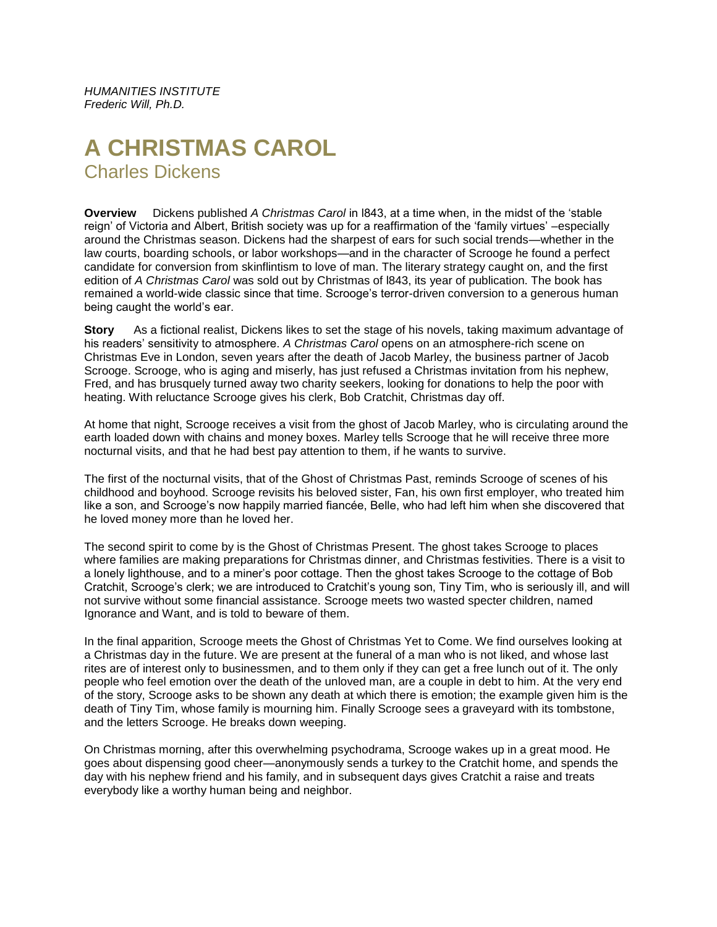*HUMANITIES INSTITUTE Frederic Will, Ph.D.*

# **A CHRISTMAS CAROL** Charles Dickens

**Overview** Dickens published *A Christmas Carol* in l843, at a time when, in the midst of the 'stable reign' of Victoria and Albert, British society was up for a reaffirmation of the 'family virtues' –especially around the Christmas season. Dickens had the sharpest of ears for such social trends—whether in the law courts, boarding schools, or labor workshops—and in the character of Scrooge he found a perfect candidate for conversion from skinflintism to love of man. The literary strategy caught on, and the first edition of *A Christmas Carol* was sold out by Christmas of l843, its year of publication. The book has remained a world-wide classic since that time. Scrooge's terror-driven conversion to a generous human being caught the world's ear.

**Story** As a fictional realist, Dickens likes to set the stage of his novels, taking maximum advantage of his readers' sensitivity to atmosphere. *A Christmas Carol* opens on an atmosphere-rich scene on Christmas Eve in London, seven years after the death of Jacob Marley, the business partner of Jacob Scrooge. Scrooge, who is aging and miserly, has just refused a Christmas invitation from his nephew, Fred, and has brusquely turned away two charity seekers, looking for donations to help the poor with heating. With reluctance Scrooge gives his clerk, Bob Cratchit, Christmas day off.

At home that night, Scrooge receives a visit from the ghost of Jacob Marley, who is circulating around the earth loaded down with chains and money boxes. Marley tells Scrooge that he will receive three more nocturnal visits, and that he had best pay attention to them, if he wants to survive.

The first of the nocturnal visits, that of the Ghost of Christmas Past, reminds Scrooge of scenes of his childhood and boyhood. Scrooge revisits his beloved sister, Fan, his own first employer, who treated him like a son, and Scrooge's now happily married fiancée, Belle, who had left him when she discovered that he loved money more than he loved her.

The second spirit to come by is the Ghost of Christmas Present. The ghost takes Scrooge to places where families are making preparations for Christmas dinner, and Christmas festivities. There is a visit to a lonely lighthouse, and to a miner's poor cottage. Then the ghost takes Scrooge to the cottage of Bob Cratchit, Scrooge's clerk; we are introduced to Cratchit's young son, Tiny Tim, who is seriously ill, and will not survive without some financial assistance. Scrooge meets two wasted specter children, named Ignorance and Want, and is told to beware of them.

In the final apparition, Scrooge meets the Ghost of Christmas Yet to Come. We find ourselves looking at a Christmas day in the future. We are present at the funeral of a man who is not liked, and whose last rites are of interest only to businessmen, and to them only if they can get a free lunch out of it. The only people who feel emotion over the death of the unloved man, are a couple in debt to him. At the very end of the story, Scrooge asks to be shown any death at which there is emotion; the example given him is the death of Tiny Tim, whose family is mourning him. Finally Scrooge sees a graveyard with its tombstone, and the letters Scrooge. He breaks down weeping.

On Christmas morning, after this overwhelming psychodrama, Scrooge wakes up in a great mood. He goes about dispensing good cheer—anonymously sends a turkey to the Cratchit home, and spends the day with his nephew friend and his family, and in subsequent days gives Cratchit a raise and treats everybody like a worthy human being and neighbor.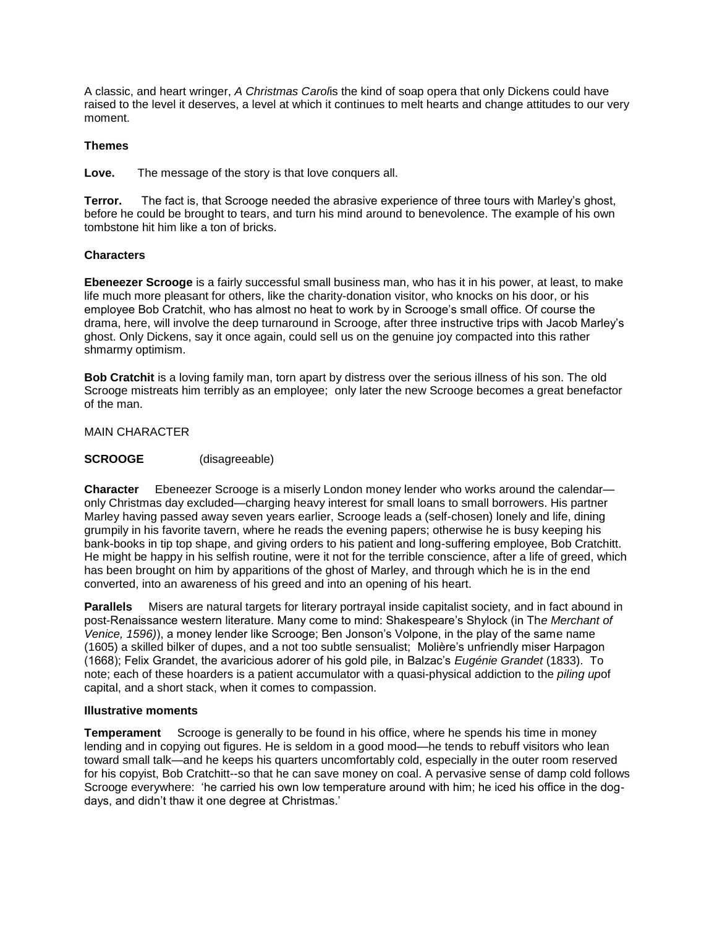A classic, and heart wringer, *A Christmas Carol*is the kind of soap opera that only Dickens could have raised to the level it deserves, a level at which it continues to melt hearts and change attitudes to our very moment.

## **Themes**

**Love.** The message of the story is that love conquers all.

**Terror.** The fact is, that Scrooge needed the abrasive experience of three tours with Marley's ghost, before he could be brought to tears, and turn his mind around to benevolence. The example of his own tombstone hit him like a ton of bricks.

## **Characters**

**Ebeneezer Scrooge** is a fairly successful small business man, who has it in his power, at least, to make life much more pleasant for others, like the charity-donation visitor, who knocks on his door, or his employee Bob Cratchit, who has almost no heat to work by in Scrooge's small office. Of course the drama, here, will involve the deep turnaround in Scrooge, after three instructive trips with Jacob Marley's ghost. Only Dickens, say it once again, could sell us on the genuine joy compacted into this rather shmarmy optimism.

**Bob Cratchit** is a loving family man, torn apart by distress over the serious illness of his son. The old Scrooge mistreats him terribly as an employee; only later the new Scrooge becomes a great benefactor of the man.

### MAIN CHARACTER

### **SCROOGE** (disagreeable)

**Character** Ebeneezer Scrooge is a miserly London money lender who works around the calendar only Christmas day excluded—charging heavy interest for small loans to small borrowers. His partner Marley having passed away seven years earlier, Scrooge leads a (self-chosen) lonely and life, dining grumpily in his favorite tavern, where he reads the evening papers; otherwise he is busy keeping his bank-books in tip top shape, and giving orders to his patient and long-suffering employee, Bob Cratchitt. He might be happy in his selfish routine, were it not for the terrible conscience, after a life of greed, which has been brought on him by apparitions of the ghost of Marley, and through which he is in the end converted, into an awareness of his greed and into an opening of his heart.

**Parallels** Misers are natural targets for literary portrayal inside capitalist society, and in fact abound in post-Renaissance western literature. Many come to mind: Shakespeare's Shylock (in Th*e Merchant of Venice, 1596)*), a money lender like Scrooge; Ben Jonson's Volpone, in the play of the same name (1605) a skilled bilker of dupes, and a not too subtle sensualist; Molière's unfriendly miser Harpagon (1668); Felix Grandet, the avaricious adorer of his gold pile, in Balzac's *Eugénie Grandet* (1833). To note; each of these hoarders is a patient accumulator with a quasi-physical addiction to the *piling up*of capital, and a short stack, when it comes to compassion.

### **Illustrative moments**

**Temperament** Scrooge is generally to be found in his office, where he spends his time in money lending and in copying out figures. He is seldom in a good mood—he tends to rebuff visitors who lean toward small talk—and he keeps his quarters uncomfortably cold, especially in the outer room reserved for his copyist, Bob Cratchitt--so that he can save money on coal. A pervasive sense of damp cold follows Scrooge everywhere: 'he carried his own low temperature around with him; he iced his office in the dogdays, and didn't thaw it one degree at Christmas.'